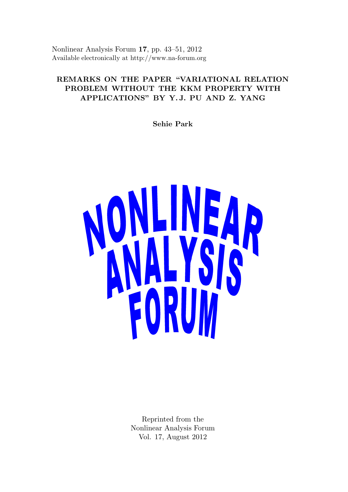Nonlinear Analysis Forum 17, pp. 43–51, 2012 Available electronically at http://www.na-forum.org

# REMARKS ON THE PAPER "VARIATIONAL RELATION PROBLEM WITHOUT THE KKM PROPERTY WITH APPLICATIONS" BY Y. J. PU AND Z. YANG

Sehie Park



Reprinted from the Nonlinear Analysis Forum Vol. 17, August 2012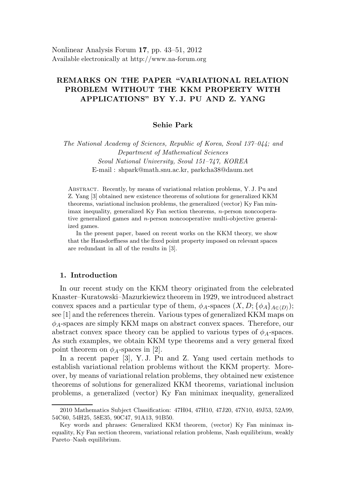# REMARKS ON THE PAPER "VARIATIONAL RELATION PROBLEM WITHOUT THE KKM PROPERTY WITH APPLICATIONS" BY Y. J. PU AND Z. YANG

### Sehie Park

The National Academy of Sciences, Republic of Korea, Seoul 137–044; and Department of Mathematical Sciences Seoul National University, Seoul 151–747, KOREA E-mail : shpark@math.snu.ac.kr, parkcha38@daum.net

Abstract. Recently, by means of variational relation problems, Y. J. Pu and Z. Yang [3] obtained new existence theorems of solutions for generalized KKM theorems, variational inclusion problems, the generalized (vector) Ky Fan minimax inequality, generalized Ky Fan section theorems,  $n$ -person noncooperative generalized games and n-person noncooperative multi-objective generalized games.

In the present paper, based on recent works on the KKM theory, we show that the Hausdorffness and the fixed point property imposed on relevant spaces are redundant in all of the results in [3].

#### 1. Introduction

In our recent study on the KKM theory originated from the celebrated Knaster–Kuratowski–Mazurkiewicz theorem in 1929, we introduced abstract convex spaces and a particular type of them,  $\phi_A$ -spaces  $(X, D; {\phi_A}_{A\in\langle D \rangle});$ see [1] and the references therein. Various types of generalized KKM maps on  $\phi_A$ -spaces are simply KKM maps on abstract convex spaces. Therefore, our abstract convex space theory can be applied to various types of  $\phi_A$ -spaces. As such examples, we obtain KKM type theorems and a very general fixed point theorem on  $\phi_A$ -spaces in [2].

In a recent paper [3], Y. J. Pu and Z. Yang used certain methods to establish variational relation problems without the KKM property. Moreover, by means of variational relation problems, they obtained new existence theorems of solutions for generalized KKM theorems, variational inclusion problems, a generalized (vector) Ky Fan minimax inequality, generalized

<sup>2010</sup> Mathematics Subject Classification: 47H04, 47H10, 47J20, 47N10, 49J53, 52A99, 54C60, 54H25, 58E35, 90C47, 91A13, 91B50.

Key words and phrases: Generalized KKM theorem, (vector) Ky Fan minimax inequality, Ky Fan section theorem, variational relation problems, Nash equilibrium, weakly Pareto–Nash equilibrium.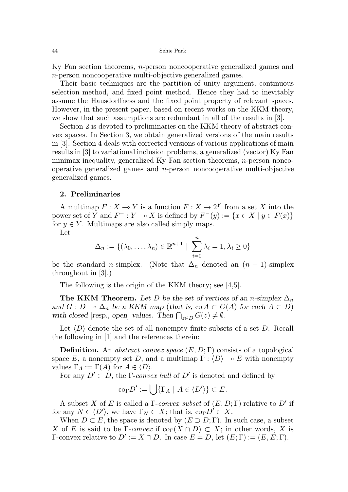Ky Fan section theorems, n-person noncooperative generalized games and n-person noncooperative multi-objective generalized games.

Their basic techniques are the partition of unity argument, continuous selection method, and fixed point method. Hence they had to inevitably assume the Hausdorffness and the fixed point property of relevant spaces. However, in the present paper, based on recent works on the KKM theory, we show that such assumptions are redundant in all of the results in [3].

Section 2 is devoted to preliminaries on the KKM theory of abstract convex spaces. In Section 3, we obtain generalized versions of the main results in [3]. Section 4 deals with corrected versions of various applications of main results in [3] to variational inclusion problems, a generalized (vector) Ky Fan minimax inequality, generalized Ky Fan section theorems,  $n$ -person noncooperative generalized games and n-person noncooperative multi-objective generalized games.

#### 2. Preliminaries

A multimap  $F : X \to Y$  is a function  $F : X \to 2^Y$  from a set X into the power set of Y and  $F^-: Y \to X$  is defined by  $F^-(y) := \{x \in X \mid y \in F(x)\}\$ for  $y \in Y$ . Multimaps are also called simply maps.

Let

$$
\Delta_n := \{(\lambda_0, \dots, \lambda_n) \in \mathbb{R}^{n+1} \mid \sum_{i=0}^n \lambda_i = 1, \lambda_i \ge 0\}
$$

be the standard n-simplex. (Note that  $\Delta_n$  denoted an  $(n-1)$ -simplex throughout in [3].)

The following is the origin of the KKM theory; see [4,5].

The KKM Theorem. Let D be the set of vertices of an n-simplex  $\Delta_n$ and  $G: D \to \Delta_n$  be a KKM map (that is, co  $A \subset G(A)$  for each  $A \subset D$ ) with closed [resp., open] values. Then  $\bigcap_{z\in D} G(z) \neq \emptyset$ .

Let  $\langle D \rangle$  denote the set of all nonempty finite subsets of a set D. Recall the following in [1] and the references therein:

**Definition.** An abstract convex space  $(E, D; \Gamma)$  consists of a topological space E, a nonempty set D, and a multimap  $\Gamma : \langle D \rangle \to E$  with nonempty values  $\Gamma_A := \Gamma(A)$  for  $A \in \langle D \rangle$ .

For any  $D' \subset D$ , the *Γ-convex hull* of  $D'$  is denoted and defined by

$$
\mathrm{co}_{\Gamma} D' := \bigcup \{ \Gamma_A \mid A \in \langle D' \rangle \} \subset E.
$$

A subset X of E is called a  $\Gamma$ -convex subset of  $(E, D; \Gamma)$  relative to D' if for any  $N \in \langle D' \rangle$ , we have  $\Gamma_N \subset X$ ; that is,  $\text{co}_{\Gamma} D' \subset X$ .

When  $D \subset E$ , the space is denoted by  $(E \supset D; \Gamma)$ . In such case, a subset X of E is said to be Γ-convex if  $\text{co}_{\Gamma}(X \cap D) \subset X$ ; in other words, X is Γ-convex relative to *D'* := *X* ∩ *D*. In case  $E = D$ , let  $(E; Γ) := (E, E; Γ)$ .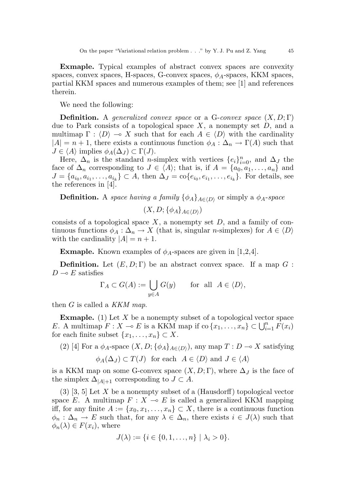Exmaple. Typical examples of abstract convex spaces are convexity spaces, convex spaces, H-spaces, G-convex spaces,  $\phi_A$ -spaces, KKM spaces, partial KKM spaces and numerous examples of them; see [1] and references therein.

We need the following:

**Definition.** A generalized convex space or a G-convex space  $(X, D; \Gamma)$ due to Park consists of a topological space  $X$ , a nonempty set  $D$ , and a multimap  $\Gamma : \langle D \rangle \to X$  such that for each  $A \in \langle D \rangle$  with the cardinality  $|A| = n + 1$ , there exists a continuous function  $\phi_A : \Delta_n \to \Gamma(A)$  such that  $J \in \langle A \rangle$  implies  $\phi_A(\Delta_J) \subset \Gamma(J)$ .

Here,  $\Delta_n$  is the standard *n*-simplex with vertices  $\{e_i\}_{i=0}^n$ , and  $\Delta_j$  the face of  $\Delta_n$  corresponding to  $J \in \langle A \rangle$ ; that is, if  $A = \{a_0, a_1, \ldots, a_n\}$  and  $J = \{a_{i_0}, a_{i_1}, \ldots, a_{i_k}\} \subset A$ , then  $\Delta_J = \text{co}\{e_{i_0}, e_{i_1}, \ldots, e_{i_k}\}$ . For details, see the references in [4].

**Definition.** A space having a family  $\{\phi_A\}_{A \in \langle D \rangle}$  or simply a  $\phi_A$ -space

 $(X,D; \{\phi_A\}_{A \in \langle D \rangle})$ 

consists of a topological space  $X$ , a nonempty set  $D$ , and a family of continuous functions  $\phi_A : \Delta_n \to X$  (that is, singular *n*-simplexes) for  $A \in \langle D \rangle$ with the cardinality  $|A| = n + 1$ .

**Exmaple.** Known examples of  $\phi_A$ -spaces are given in [1,2,4].

**Definition.** Let  $(E, D; \Gamma)$  be an abstract convex space. If a map  $G$ :  $D \sim E$  satisfies

$$
\Gamma_A \subset G(A) := \bigcup_{y \in A} G(y) \quad \text{for all } A \in \langle D \rangle,
$$

then  $G$  is called a KKM map.

**Exmaple.** (1) Let X be a nonempty subset of a topological vector space E. A multimap  $F: X \to E$  is a KKM map if  $\text{co } \{x_1, \ldots, x_n\} \subset \bigcup_{i=1}^n F(x_i)$ for each finite subset  $\{x_1, \ldots, x_n\} \subset X$ .

(2) [4] For a  $\phi_A$ -space  $(X, D; {\phi_A}_{A \in (D)})$ , any map  $T : D \multimap X$  satisfying

$$
\phi_A(\Delta_J) \subset T(J)
$$
 for each  $A \in \langle D \rangle$  and  $J \in \langle A \rangle$ 

is a KKM map on some G-convex space  $(X, D; \Gamma)$ , where  $\Delta_J$  is the face of the simplex  $\Delta_{|A|+1}$  corresponding to  $J \subset A$ .

 $(3)$  [3, 5] Let X be a nonempty subset of a (Hausdorff) topological vector space E. A multimap  $F : X \to E$  is called a generalized KKM mapping iff, for any finite  $A := \{x_0, x_1, \ldots, x_n\} \subset X$ , there is a continuous function  $\phi_n : \Delta_n \to E$  such that, for any  $\lambda \in \Delta_n$ , there exists  $i \in J(\lambda)$  such that  $\phi_n(\lambda) \in F(x_i)$ , where

$$
J(\lambda) := \{i \in \{0, 1, \ldots, n\} \mid \lambda_i > 0\}.
$$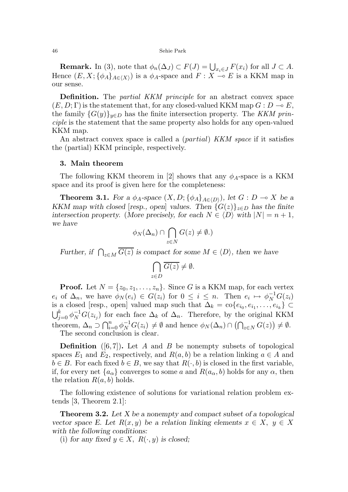#### 46 Sehie Park

**Remark.** In (3), note that  $\phi_n(\Delta_J) \subset F(J) = \bigcup_{x_i \in J} F(x_i)$  for all  $J \subset A$ . Hence  $(E, X; {\phi_A}_{A \in \langle X \rangle})$  is a  $\phi_A$ -space and  $F : X \stackrel{\sim}{\multimap} E$  is a KKM map in our sense.

Definition. The *partial KKM principle* for an abstract convex space  $(E, D; \Gamma)$  is the statement that, for any closed-valued KKM map  $G: D \to E$ , the family  $\{G(y)\}_{y\in D}$  has the finite intersection property. The KKM principle is the statement that the same property also holds for any open-valued KKM map.

An abstract convex space is called a *(partial) KKM space* if it satisfies the (partial) KKM principle, respectively.

#### 3. Main theorem

The following KKM theorem in [2] shows that any  $\phi_A$ -space is a KKM space and its proof is given here for the completeness:

**Theorem 3.1.** For a  $\phi_A$ -space  $(X, D; {\phi_A}_{A \in \langle D \rangle})$ , let  $G: D \to X$  be a KKM map with closed [resp., open] values. Then  $\{G(z)\}_{z\in D}$  has the finite intersection property. (More precisely, for each  $N \in \langle D \rangle$  with  $|N| = n + 1$ , we have

$$
\phi_N(\Delta_n) \cap \bigcap_{z \in N} G(z) \neq \emptyset.
$$

Further, if  $\bigcap_{z \in M} G(z)$  is compact for some  $M \in \langle D \rangle$ , then we have

$$
\bigcap_{z \in D} \overline{G(z)} \neq \emptyset.
$$

**Proof.** Let  $N = \{z_0, z_1, \ldots, z_n\}$ . Since G is a KKM map, for each vertex  $e_i$  of  $\Delta_n$ , we have  $\phi_N(e_i) \in G(z_i)$  for  $0 \leq i \leq n$ . Then  $e_i \mapsto \phi_N^{-1}G(z_i)$ is a closed [resp., open] valued map such that  $\Delta_k = \text{co}\{e_{i_0}, e_{i_1}, \ldots, e_{i_k}\} \subset$  $\bigcup_{j=0}^k \phi_N^{-1} G(z_{i_j})$  for each face  $\Delta_k$  of  $\Delta_n$ . Therefore, by the original KKM theorem,  $\Delta_n \supset \bigcap_{i=0}^n \phi_N^{-1} G(z_i) \neq \emptyset$  and hence  $\phi_N(\Delta_n) \cap (\bigcap_{z \in N} G(z)) \neq \emptyset$ . The second conclusion is clear.

**Definition** ([6,7]). Let A and B be nonempty subsets of topological spaces  $E_1$  and  $E_2$ , respectively, and  $R(a, b)$  be a relation linking  $a \in A$  and  $b \in B$ . For each fixed  $b \in B$ , we say that  $R(\cdot, b)$  is closed in the first variable, if, for every net  $\{a_{\alpha}\}\$ converges to some a and  $R(a_{\alpha},b)$  holds for any  $\alpha$ , then the relation  $R(a, b)$  holds.

The following existence of solutions for variational relation problem extends [3, Theorem 2.1]:

**Theorem 3.2.** Let  $X$  be a nonempty and compact subset of a topological vector space E. Let  $R(x, y)$  be a relation linking elements  $x \in X$ ,  $y \in X$ with the following conditions:

(i) for any fixed  $y \in X$ ,  $R(\cdot, y)$  is closed;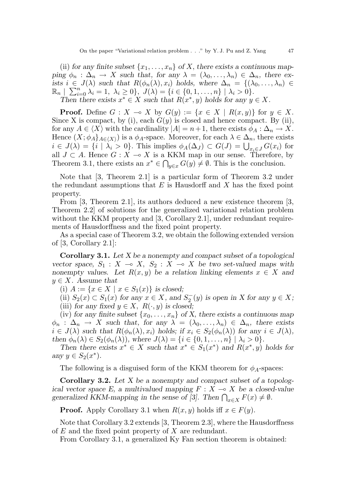(ii) for any finite subset  $\{x_1, \ldots, x_n\}$  of X, there exists a continuous mapping  $\phi_n$ :  $\Delta_n \to X$  such that, for any  $\lambda = (\lambda_0, \ldots, \lambda_n) \in \Delta_n$ , there exists  $i \in J(\lambda)$  such that  $R(\phi_n(\lambda), x_i)$  holds, where  $\Delta_n = \{(\lambda_0, \ldots, \lambda_n) \in$  $\mathbb{R}_n \left[ \sum_{i=0}^n \lambda_i = 1, \lambda_i \geq 0 \right], J(\lambda) = \{i \in \{0, 1, \ldots, n\} \mid \lambda_i > 0 \}.$ Then there exists  $x^* \in X$  such that  $R(x^*, y)$  holds for any  $y \in X$ .

**Proof.** Define  $G : X \to X$  by  $G(y) := \{x \in X \mid R(x, y)\}\$ for  $y \in X$ . Since X is compact, by (i), each  $G(y)$  is closed and hence compact. By (ii), for any  $A \in \langle X \rangle$  with the cardinality  $|A| = n+1$ , there exists  $\phi_A : \Delta_n \to X$ . Hence  $(X; \phi_A]_{A \in \langle X \rangle})$  is a  $\phi_A$ -space. Moreover, for each  $\lambda \in \Delta_n$ , there exists  $i \in J(\lambda) = \{i \mid \lambda_i > 0\}$ . This implies  $\phi_A(\Delta_J) \subset G(J) = \bigcup_{x_i \in J} G(x_i)$  for all  $J \subset A$ . Hence  $G : X \to X$  is a KKM map in our sense. Therefore, by Theorem 3.1, there exists an  $x^* \in \bigcap_{y \in x} G(y) \neq \emptyset$ . This is the conclusion.

Note that [3, Theorem 2.1] is a particular form of Theorem 3.2 under the redundant assumptions that  $E$  is Hausdorff and  $X$  has the fixed point property.

From [3, Theorem 2.1], its authors deduced a new existence theorem [3, Theorem 2.2] of solutions for the generalized variational relation problem without the KKM property and [3, Corollary 2.1], under redundant requirements of Hausdorffness and the fixed point property.

As a special case of Theorem 3.2, we obtain the following extended version of [3, Corollary 2.1]:

Corollary 3.1. Let X be a nonempty and compact subset of a topological vector space,  $S_1 : X \multimap X$ ,  $S_2 : X \multimap X$  be two set-valued maps with nonempty values. Let  $R(x, y)$  be a relation linking elements  $x \in X$  and  $y \in X$ . Assume that

(i)  $A := \{x \in X \mid x \in S_1(x)\}\$ is closed;

(ii)  $S_2(x) \subset S_1(x)$  for any  $x \in X$ , and  $S_2^-(y)$  is open in X for any  $y \in X$ ; (iii) for any fixed  $y \in X$ ,  $R(\cdot, y)$  is closed;

(iv) for any finite subset  $\{x_0, \ldots, x_n\}$  of X, there exists a continuous map  $\phi_n$ :  $\Delta_n \to X$  such that, for any  $\lambda = (\lambda_0, \ldots, \lambda_n) \in \Delta_n$ , there exists  $i \in J(\lambda)$  such that  $R(\phi_n(\lambda), x_i)$  holds; if  $x_i \in S_2(\phi_n(\lambda))$  for any  $i \in J(\lambda)$ , then  $\phi_n(\lambda) \in S_2(\phi_n(\lambda))$ , where  $J(\lambda) = \{i \in \{0, 1, \ldots, n\} \mid \lambda_i > 0\}.$ 

Then there exists  $x^* \in X$  such that  $x^* \in S_1(x^*)$  and  $R(x^*, y)$  holds for any  $y \in S_2(x^*)$ .

The following is a disguised form of the KKM theorem for  $\phi_A$ -spaces:

**Corollary 3.2.** Let  $X$  be a nonempty and compact subset of a topological vector space E, a multivalued mapping  $F : X \longrightarrow X$  be a closed-value generalized KKM-mapping in the sense of [3]. Then  $\bigcap_{x \in X} F(x) \neq \emptyset$ .

**Proof.** Apply Corollary 3.1 when  $R(x, y)$  holds iff  $x \in F(y)$ .

Note that Corollary 3.2 extends [3, Theorem 2.3], where the Hausdorffness of  $E$  and the fixed point property of  $X$  are redundant.

From Corollary 3.1, a generalized Ky Fan section theorem is obtained: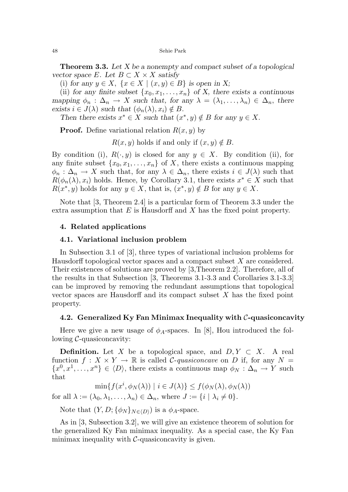**Theorem 3.3.** Let  $X$  be a nonempty and compact subset of a topological vector space E. Let  $B \subset X \times X$  satisfy

(i) for any  $y \in X$ ,  $\{x \in X \mid (x, y) \in B\}$  is open in X;

(ii) for any finite subset  $\{x_0, x_1, \ldots, x_n\}$  of X, there exists a continuous mapping  $\phi_n : \Delta_n \to X$  such that, for any  $\lambda = (\lambda_1, \ldots, \lambda_n) \in \Delta_n$ , there exists  $i \in J(\lambda)$  such that  $(\phi_n(\lambda), x_i) \notin B$ .

Then there exists  $x^* \in X$  such that  $(x^*, y) \notin B$  for any  $y \in X$ .

**Proof.** Define variational relation  $R(x, y)$  by

 $R(x, y)$  holds if and only if  $(x, y) \notin B$ .

By condition (i),  $R(\cdot, y)$  is closed for any  $y \in X$ . By condition (ii), for any finite subset  $\{x_0, x_1, \ldots, x_n\}$  of X, there exists a continuous mapping  $\phi_n : \Delta_n \to X$  such that, for any  $\lambda \in \Delta_n$ , there exists  $i \in J(\lambda)$  such that  $R(\phi_n(\lambda), x_i)$  holds. Hence, by Corollary 3.1, there exists  $x^* \in X$  such that  $R(x^*, y)$  holds for any  $y \in X$ , that is,  $(x^*, y) \notin B$  for any  $y \in X$ .

Note that [3, Theorem 2.4] is a particular form of Theorem 3.3 under the extra assumption that  $E$  is Hausdorff and  $X$  has the fixed point property.

## 4. Related applications

### 4.1. Variational inclusion problem

In Subsection 3.1 of [3], three types of variational inclusion problems for Hausdorff topological vector spaces and a compact subset  $X$  are considered. Their existences of solutions are proved by [3,Theorem 2.2]. Therefore, all of the results in that Subsection [3, Theorems 3.1-3.3 and Corollaries 3.1-3.3] can be improved by removing the redundant assumptions that topological vector spaces are Hausdorff and its compact subset X has the fixed point property.

#### 4.2. Generalized Ky Fan Minimax Inequality with  $\mathcal{C}$ -quasiconcavity

Here we give a new usage of  $\phi_A$ -spaces. In [8], Hou introduced the following  $\mathcal{C}$ -quasiconcavity:

**Definition.** Let X be a topological space, and  $D, Y \subset X$ . A real function  $f: X \times Y \to \mathbb{R}$  is called C-quasiconcave on D if, for any  $N =$  $\{x^0, x^1, \ldots, x^n\} \in \langle D \rangle$ , there exists a continuous map  $\phi_N : \Delta_n \to Y$  such that

 $\min\{f(x^i, \phi_N(\lambda)) \mid i \in J(\lambda)\} \leq f(\phi_N(\lambda), \phi_N(\lambda))$ 

for all  $\lambda := (\lambda_0, \lambda_1, \dots, \lambda_n) \in \Delta_n$ , where  $J := \{i \mid \lambda_i \neq 0\}.$ 

Note that  $(Y, D; \{\phi_N\}_{N \in \langle D \rangle})$  is a  $\phi_A$ -space.

As in [3, Subsection 3.2], we will give an existence theorem of solution for the generalized Ky Fan minimax inequality. As a special case, the Ky Fan minimax inequality with  $\mathcal{C}$ -quasiconcavity is given.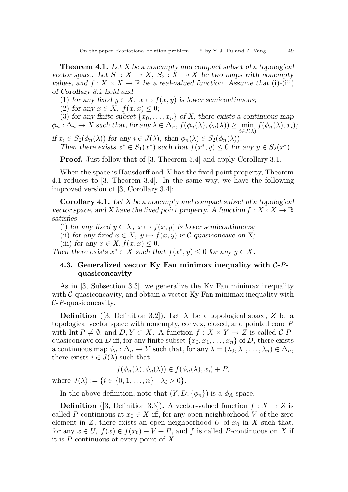**Theorem 4.1.** Let  $X$  be a nonempty and compact subset of a topological vector space. Let  $S_1 : X \to X$ ,  $S_2 : X \to X$  be two maps with nonempty values, and  $f: X \times X \to \mathbb{R}$  be a real-valued function. Assume that (i)-(iii) of Corollary 3.1 hold and

(1) for any fixed  $y \in X$ ,  $x \mapsto f(x, y)$  is lower semicontinuous;

(2) for any  $x \in X$ ,  $f(x, x) \leq 0$ ;

(3) for any finite subset  $\{x_0, \ldots, x_n\}$  of X, there exists a continuous map  $\phi_n : \Delta_n \to X$  such that, for any  $\lambda \in \Delta_n$ ,  $f(\phi_n(\lambda), \phi_n(\lambda)) \ge \min_{i \in J(\lambda)} f(\phi_n(\lambda), x_i);$ 

if  $x_i \in S_2(\phi_n(\lambda))$  for any  $i \in J(\lambda)$ , then  $\phi_n(\lambda) \in S_2(\phi_n(\lambda))$ . Then there exists  $x^* \in S_1(x^*)$  such that  $f(x^*, y) \leq 0$  for any  $y \in S_2(x^*)$ .

**Proof.** Just follow that of [3, Theorem 3.4] and apply Corollary 3.1.

When the space is Hausdorff and  $X$  has the fixed point property, Theorem 4.1 reduces to [3, Theorem 3.4]. In the same way, we have the following improved version of [3, Corollary 3.4]:

**Corollary 4.1.** Let  $X$  be a nonempty and compact subset of a topological vector space, and X have the fixed point property. A function  $f: X \times X \to \mathbb{R}$ satisfies

(i) for any fixed  $y \in X$ ,  $x \mapsto f(x, y)$  is lower semicontinuous;

(ii) for any fixed  $x \in X$ ,  $y \mapsto f(x, y)$  is C-quasiconcave on X;

(iii) for any  $x \in X, f(x, x) \leq 0$ .

Then there exists  $x^* \in X$  such that  $f(x^*, y) \leq 0$  for any  $y \in X$ .

# 4.3. Generalized vector Ky Fan minimax inequality with  $C-P$ quasiconcavity

As in [3, Subsection 3.3], we generalize the Ky Fan minimax inequality with  $\mathcal{C}\text{-quasiconcavity}$ , and obtain a vector Ky Fan minimax inequality with  $C$ -P-quasiconcavity.

**Definition** ([3, Definition 3.2]). Let X be a topological space, Z be a topological vector space with nonempty, convex, closed, and pointed cone P with Int  $P \neq \emptyset$ , and  $D, Y \subset X$ . A function  $f : X \times Y \to Z$  is called C-Pquasiconcave on D iff, for any finite subset  $\{x_0, x_1, \ldots, x_n\}$  of D, there exists a continuous map  $\phi_n : \Delta_n \to Y$  such that, for any  $\lambda = (\lambda_0, \lambda_1, \ldots, \lambda_n) \in \Delta_n$ , there exists  $i \in J(\lambda)$  such that

$$
f(\phi_n(\lambda), \phi_n(\lambda)) \in f(\phi_n(\lambda), x_i) + P,
$$

where  $J(\lambda) := \{i \in \{0, 1, ..., n\} \mid \lambda_i > 0\}.$ 

In the above definition, note that  $(Y, D; \{\phi_n\})$  is a  $\phi_A$ -space.

**Definition** ([3, Definition 3.3]). A vector-valued function  $f: X \to Z$  is called P-continuous at  $x_0 \in X$  iff, for any open neighborhood V of the zero element in Z, there exists an open neighborhood U of  $x_0$  in X such that, for any  $x \in U$ ,  $f(x) \in f(x_0) + V + P$ , and f is called P-continuous on X if it is P-continuous at every point of X.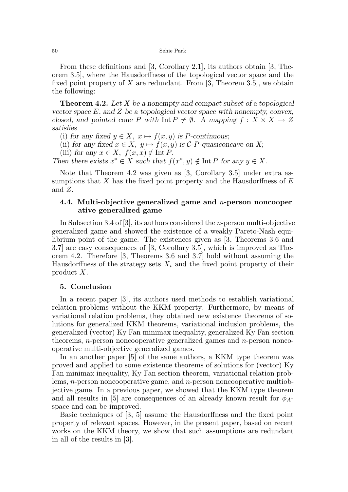#### 50 Sehie Park

From these definitions and [3, Corollary 2.1], its authors obtain [3, Theorem 3.5], where the Hausdorffness of the topological vector space and the fixed point property of X are redundant. From  $[3,$  Theorem 3.5, we obtain the following:

**Theorem 4.2.** Let  $X$  be a nonempty and compact subset of a topological vector space  $E$ , and  $Z$  be a topological vector space with nonempty, convex, closed, and pointed cone P with Int  $P \neq \emptyset$ . A mapping  $f : X \times X \rightarrow Z$ satisfies

(i) for any fixed  $y \in X$ ,  $x \mapsto f(x, y)$  is P-continuous;

(ii) for any fixed  $x \in X$ ,  $y \mapsto f(x, y)$  is C-P-quasiconcave on X;

(iii) for any  $x \in X$ ,  $f(x, x) \notin \text{Int } P$ .

Then there exists  $x^* \in X$  such that  $f(x^*, y) \notin \text{Int } P$  for any  $y \in X$ .

Note that Theorem 4.2 was given as [3, Corollary 3.5] under extra assumptions that  $X$  has the fixed point property and the Hausdorffness of  $E$ and Z.

## 4.4. Multi-objective generalized game and n-person noncooper ative generalized game

In Subsection 3.4 of [3], its authors considered the n-person multi-objective generalized game and showed the existence of a weakly Pareto-Nash equilibrium point of the game. The existences given as [3, Theorems 3.6 and 3.7] are easy consequences of [3, Corollary 3.5], which is improved as Theorem 4.2. Therefore [3, Theorems 3.6 and 3.7] hold without assuming the Hausdorffness of the strategy sets  $X_i$  and the fixed point property of their product X.

#### 5. Conclusion

In a recent paper [3], its authors used methods to establish variational relation problems without the KKM property. Furthermore, by means of variational relation problems, they obtained new existence theorems of solutions for generalized KKM theorems, variational inclusion problems, the generalized (vector) Ky Fan minimax inequality, generalized Ky Fan section theorems, *n*-person noncooperative generalized games and *n*-person noncooperative multi-objective generalized games.

In an another paper [5] of the same authors, a KKM type theorem was proved and applied to some existence theorems of solutions for (vector) Ky Fan minimax inequality, Ky Fan section theorem, variational relation problems, *n*-person noncooperative game, and *n*-person noncooperative multiobjective game. In a previous paper, we showed that the KKM type theorem and all results in [5] are consequences of an already known result for  $\phi_{A}$ space and can be improved.

Basic techniques of [3, 5] assume the Hausdorffness and the fixed point property of relevant spaces. However, in the present paper, based on recent works on the KKM theory, we show that such assumptions are redundant in all of the results in [3].